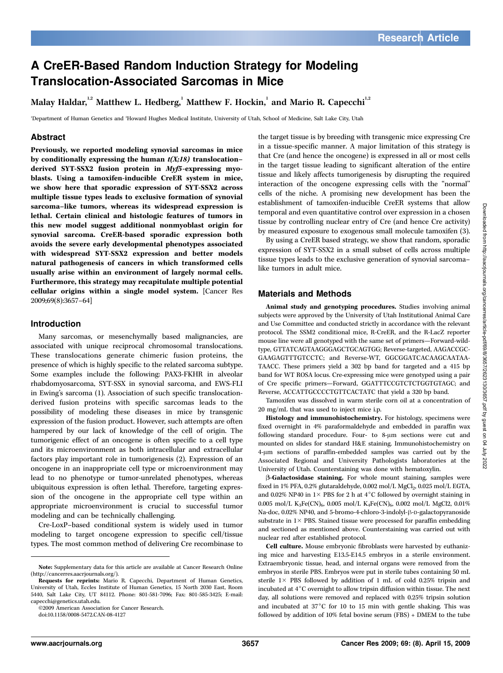# A CreER-Based Random Induction Strategy for Modeling Translocation-Associated Sarcomas in Mice

Malay Haldar,<sup>1,2</sup> Matthew L. Hedberg,<sup>1</sup> Matthew F. Hockin,<sup>1</sup> and Mario R. Capecchi<sup>1,2</sup>

1 Department of Human Genetics and <sup>2</sup> Howard Hughes Medical Institute, University of Utah, School of Medicine, Salt Lake City, Utah

## Abstract

Previously, we reported modeling synovial sarcomas in mice by conditionally expressing the human  $t(X;18)$  translocation– derived SYT-SSX2 fusion protein in Myf5-expressing myoblasts.Using a tamoxifen-inducible CreER system in mice, we show here that sporadic expression of SYT-SSX2 across multiple tissue types leads to exclusive formation of synovial sarcoma–like tumors, whereas its widespread expression is lethal.Certain clinical and histologic features of tumors in this new model suggest additional nonmyoblast origin for synovial sarcoma. CreER-based sporadic expression both avoids the severe early developmental phenotypes associated with widespread SYT-SSX2 expression and better models natural pathogenesis of cancers in which transformed cells usually arise within an environment of largely normal cells. Furthermore, this strategy may recapitulate multiple potential cellular origins within a single model system. [Cancer Res 2009;69(8):3657–64]

## Introduction

Many sarcomas, or mesenchymally based malignancies, are associated with unique reciprocal chromosomal translocations. These translocations generate chimeric fusion proteins, the presence of which is highly specific to the related sarcoma subtype. Some examples include the following: PAX3-FKHR in alveolar rhabdomyosarcoma, SYT-SSX in synovial sarcoma, and EWS-FLI in Ewing's sarcoma (1). Association of such specific translocationderived fusion proteins with specific sarcomas leads to the possibility of modeling these diseases in mice by transgenic expression of the fusion product. However, such attempts are often hampered by our lack of knowledge of the cell of origin. The tumorigenic effect of an oncogene is often specific to a cell type and its microenvironment as both intracellular and extracellular factors play important role in tumorigenesis (2). Expression of an oncogene in an inappropriate cell type or microenvironment may lead to no phenotype or tumor-unrelated phenotypes, whereas ubiquitous expression is often lethal. Therefore, targeting expression of the oncogene in the appropriate cell type within an appropriate microenvironment is crucial to successful tumor modeling and can be technically challenging.

Cre-LoxP–based conditional system is widely used in tumor modeling to target oncogene expression to specific cell/tissue types. The most common method of delivering Cre recombinase to

I2009 American Association for Cancer Research.

doi:10.1158/0008-5472.CAN-08-4127

the target tissue is by breeding with transgenic mice expressing Cre in a tissue-specific manner. A major limitation of this strategy is that Cre (and hence the oncogene) is expressed in all or most cells in the target tissue leading to significant alteration of the entire tissue and likely affects tumorigenesis by disrupting the required interaction of the oncogene expressing cells with the ''normal'' cells of the niche. A promising new development has been the establishment of tamoxifen-inducible CreER systems that allow temporal and even quantitative control over expression in a chosen tissue by controlling nuclear entry of Cre (and hence Cre activity) by measured exposure to exogenous small molecule tamoxifen (3).

By using a CreER based strategy, we show that random, sporadic expression of SYT-SSX2 in a small subset of cells across multiple tissue types leads to the exclusive generation of synovial sarcoma– like tumors in adult mice.

# Materials and Methods

Animal study and genotyping procedures. Studies involving animal subjects were approved by the University of Utah Institutional Animal Care and Use Committee and conducted strictly in accordance with the relevant protocol. The SSM2 conditional mice, R-CreER, and the R-LacZ reporter mouse line were all genotyped with the same set of primers—Forward-wildtype, GTTATCAGTAAGGGAGCTGCAGTGG; Reverse-targeted, AAGACCGC-GAAGAGTTTGTCCTC; and Reverse-WT, GGCGGATCACAAGCAATAA-TAACC. These primers yield a 302 bp band for targeted and a 415 bp band for WT ROSA locus. Cre-expressing mice were genotyped using a pair of Cre specific primers—Forward, GGATTTCCGTCTCTGGTGTAGC; and Reverse, ACCATTGCCCCTGTTCACTATC that yield a 320 bp band.

Tamoxifen was dissolved in warm sterile corn oil at a concentration of 20 mg/mL that was used to inject mice i.p.

Histology and immunohistochemistry. For histology, specimens were fixed overnight in 4% paraformaldehyde and embedded in paraffin wax following standard procedure. Four- to 8-µm sections were cut and mounted on slides for standard H&E staining. Immunohistochemistry on 4-Am sections of paraffin-embedded samples was carried out by the Associated Regional and University Pathologists laboratories at the University of Utah. Counterstaining was done with hematoxylin.

B-Galactosidase staining. For whole mount staining, samples were fixed in 1% PFA, 0.2% glutaraldehyde, 0.002 mol/L MgCl<sub>2</sub>, 0.025 mol/L EGTA, and 0.02% NP40 in  $1\times$  PBS for 2 h at 4°C followed by overnight staining in 0.005 mol/L K3Fe(CN)6, 0.005 mol/L K4Fe(CN)6, 0.002 mol/L MgCl2, 0.01% Na-doc, 0.02% NP40, and 5-bromo-4-chloro-3-indolyl- $\beta$ -D-galactopyranoside substrate in  $1 \times$  PBS. Stained tissue were processed for paraffin embedding and sectioned as mentioned above. Counterstaining was carried out with nuclear red after established protocol.

Cell culture. Mouse embryonic fibroblasts were harvested by euthanizing mice and harvesting E13.5-E14.5 embryos in a sterile environment. Extraembryonic tissue, head, and internal organs were removed from the embryos in sterile PBS. Embryos were put in sterile tubes containing 50 mL sterile  $1 \times$  PBS followed by addition of 1 mL of cold 0.25% tripsin and incubated at  $4^{\circ}$ C overnight to allow tripsin diffusion within tissue. The next day, all solutions were removed and replaced with 0.25% tripsin solution and incubated at  $37^{\circ}$ C for 10 to 15 min with gentle shaking. This was followed by addition of 10% fetal bovine serum (FBS) + DMEM to the tube

Note: Supplementary data for this article are available at Cancer Research Online (http://cancerres.aacrjournals.org/).

Requests for reprints: Mario R. Capecchi, Department of Human Genetics, University of Utah, Eccles Institute of Human Genetics, 15 North 2030 East, Room 5440, Salt Lake City, UT 84112. Phone: 801-581-7096; Fax: 801-585-3425; E-mail: capecchi@genetics.utah.edu.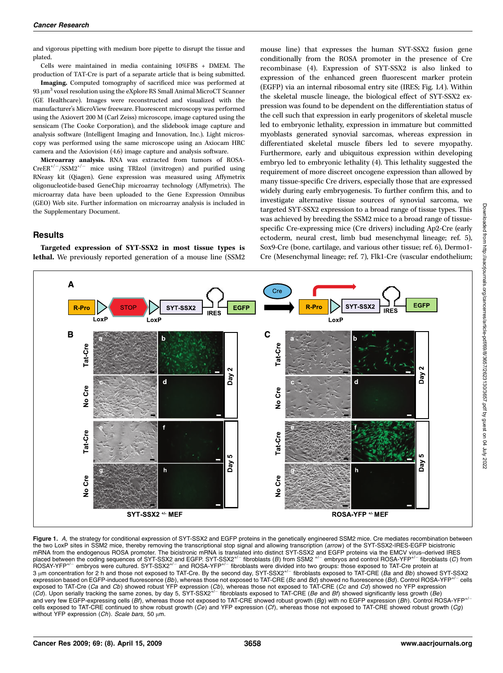and vigorous pipetting with medium bore pipette to disrupt the tissue and plated.

Cells were maintained in media containing 10%FBS + DMEM. The production of TAT-Cre is part of a separate article that is being submitted.

Imaging. Computed tomography of sacrificed mice was performed at 93 μm<sup>3</sup> voxel resolution using the eXplore RS Small Animal MicroCT Scanner (GE Healthcare). Images were reconstructed and visualized with the manufacturer's MicroView freeware. Fluorescent microscopy was performed using the Axiovert 200 M (Carl Zeiss) microscope, image captured using the sensicam (The Cooke Corporation), and the slidebook image capture and analysis software (Intelligent Imaging and Innovation, Inc.). Light microscopy was performed using the same microscope using an Axiocam HRC camera and the Axiovision (4.6) image capture and analysis software.

Microarray analysis. RNA was extracted from tumors of ROSA- $CreER^{+/-}/SSM2^{+/-}$  mice using TRIzol (invitrogen) and purified using RNeasy kit (Qiagen). Gene expression was measured using Affymetrix oligonucleotide-based GeneChip microarray technology (Affymetrix). The microarray data have been uploaded to the Gene Expression Omnibus (GEO) Web site. Further information on microarray analysis is included in the Supplementary Document.

#### **Results**

Targeted expression of SYT-SSX2 in most tissue types is lethal. We previously reported generation of a mouse line (SSM2 mouse line) that expresses the human SYT-SSX2 fusion gene conditionally from the ROSA promoter in the presence of Cre recombinase (4). Expression of SYT-SSX2 is also linked to expression of the enhanced green fluorescent marker protein (EGFP) via an internal ribosomal entry site (IRES; Fig. 1A). Within the skeletal muscle lineage, the biological effect of SYT-SSX2 expression was found to be dependent on the differentiation status of the cell such that expression in early progenitors of skeletal muscle led to embryonic lethality, expression in immature but committed myoblasts generated synovial sarcomas, whereas expression in differentiated skeletal muscle fibers led to severe myopathy. Furthermore, early and ubiquitous expression within developing embryo led to embryonic lethality (4). This lethality suggested the requirement of more discreet oncogene expression than allowed by many tissue-specific Cre drivers, especially those that are expressed widely during early embryogenesis. To further confirm this, and to investigate alternative tissue sources of synovial sarcoma, we targeted SYT-SSX2 expression to a broad range of tissue types. This was achieved by breeding the SSM2 mice to a broad range of tissuespecific Cre-expressing mice (Cre drivers) including Ap2-Cre (early ectoderm, neural crest, limb bud mesenchymal lineage; ref. 5), Sox9-Cre (bone, cartilage, and various other tissue; ref. 6), Dermo1- Cre (Mesenchymal lineage; ref. 7), Flk1-Cre (vascular endothelium;



Figure 1. A, the strategy for conditional expression of SYT-SSX2 and EGFP proteins in the genetically engineered SSM2 mice. Cre mediates recombination between the two LoxP sites in SSM2 mice, thereby removing the transcriptional stop signal and allowing transcription (arrow) of the SYT-SSX2-IRES-EGFP bicistronic mRNA from the endogenous ROSA promoter. The bicistronic mRNA is translated into distinct SYT-SSX2 and EGFP proteins via the EMCV virus–derived IRES placed between the coding sequences of SYT-SSX2 and EGFP. SYT-SSX2<sup>+/-</sup> fibroblasts (*B*) from SSM2 <sup>+/-</sup> embryos and control ROSA-YFP<sup>+/-</sup> fibroblasts (*C*) from ROSAY-YFP<sup>+/−</sup> embryos were cultured. SYT-SSX2<sup>+/−</sup> and ROSA-YFP<sup>+/−</sup> fibroblasts were divided into two groups: those exposed to TAT-Cre protein at<br>3 µm concentration for 2 h and those not exposed to TAT-Cre. By the secon expression based on EGFP-induced fluorescence (Bb), whereas those not exposed to TAT-CRE (Bc and Bd) showed no fluorescence (Bd). Control ROSA-YFP+/ cells exposed to TAT-Cre (*Ca* and *Cb*) showed robust YFP expression (*Cb*), whereas those not exposed to TAT-CRE (*Cc* and *Cd*) showed no YFP expression<br>(*Cd*). Upon serially tracking the same zones, by day 5, SYT-SSX2\*<sup>/\_</sup> f and very few EGFP-expressing cells (Bf), whereas those not exposed to TAT-CRE showed robust growth (Bg) with no EGFP expression (Bh). Control ROSA-YFP<sup>+/-</sup> cells exposed to TAT-CRE continued to show robust growth  $(Ce)$  and YFP expression  $(Cf)$ , whereas those not exposed to TAT-CRE showed robust growth  $(Cg)$ without YFP expression  $(Ch)$ . Scale bars, 50  $\mu$ m.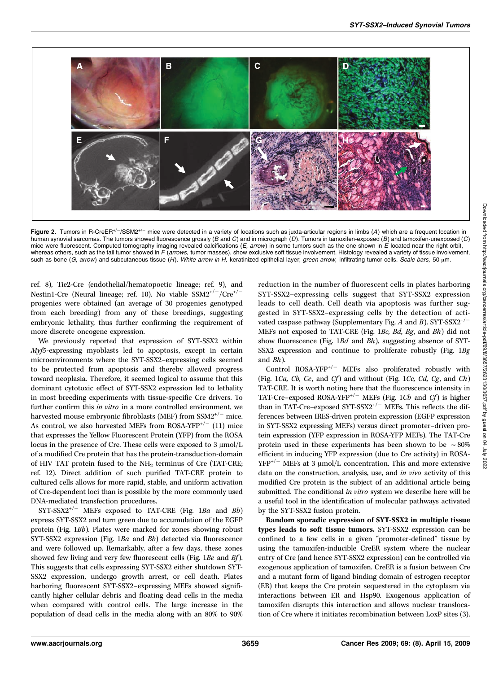

Figure 2. Tumors in R-CreER<sup>+/-</sup>/SSM2<sup>+/-</sup> mice were detected in a variety of locations such as juxta-articular regions in limbs (A) which are a frequent location in human synovial sarcomas. The tumors showed fluorescence grossly (B and C) and in micrograph (D). Tumors in tamoxifen-exposed (B) and tamoxifen-unexposed (C) mice were fluorescent. Computed tomography imaging revealed calcifications  $(E, arrow)$  in some tumors such as the one shown in  $E$  located near the right orbit, whereas others, such as the tail tumor showed in  $F$  (arrows, tumor masses), show exclusive soft tissue involvement. Histology revealed a variety of tissue involvement, such as bone (G, arrow) and subcutaneous tissue (H). White arrow in H, keratinized epithelial layer; green arrow, infiltrating tumor cells. Scale bars, 50 µm.

ref. 8), Tie2-Cre (endothelial/hematopoetic lineage; ref. 9), and Nestin1-Cre (Neural lineage; ref. 10). No viable  $SSM2^{+/-}/Cre^{+/-}$ progenies were obtained (an average of 30 progenies genotyped from each breeding) from any of these breedings, suggesting embryonic lethality, thus further confirming the requirement of more discrete oncogene expression.

We previously reported that expression of SYT-SSX2 within Myf5-expressing myoblasts led to apoptosis, except in certain microenvironments where the SYT-SSX2–expressing cells seemed to be protected from apoptosis and thereby allowed progress toward neoplasia. Therefore, it seemed logical to assume that this dominant cytotoxic effect of SYT-SSX2 expression led to lethality in most breeding experiments with tissue-specific Cre drivers. To further confirm this in vitro in a more controlled environment, we harvested mouse embryonic fibroblasts (MEF) from SSM2<sup>+/-</sup> mice. As control, we also harvested MEFs from ROSA-YFP<sup>+/-</sup> (11) mice that expresses the Yellow Fluorescent Protein (YFP) from the ROSA locus in the presence of Cre. These cells were exposed to  $3 \mu \text{mol/L}$ of a modified Cre protein that has the protein-transduction-domain of HIV TAT protein fused to the  $NH<sub>2</sub>$  terminus of Cre (TAT-CRE; ref. 12). Direct addition of such purified TAT-CRE protein to cultured cells allows for more rapid, stable, and uniform activation of Cre-dependent loci than is possible by the more commonly used DNA-mediated transfection procedures.

SYT-SSX2<sup>+/-</sup> MEFs exposed to TAT-CRE (Fig. 1Ba and Bb) express SYT-SSX2 and turn green due to accumulation of the EGFP protein (Fig. 1Bb). Plates were marked for zones showing robust SYT-SSX2 expression (Fig. 1Ba and Bb) detected via fluorescence and were followed up. Remarkably, after a few days, these zones showed few living and very few fluorescent cells (Fig. 1Be and Bf). This suggests that cells expressing SYT-SSX2 either shutdown SYT-SSX2 expression, undergo growth arrest, or cell death. Plates harboring fluorescent SYT-SSX2–expressing MEFs showed significantly higher cellular debris and floating dead cells in the media when compared with control cells. The large increase in the population of dead cells in the media along with an 80% to 90% reduction in the number of fluorescent cells in plates harboring SYT-SSX2–expressing cells suggest that SYT-SSX2 expression leads to cell death. Cell death via apoptosis was further suggested in SYT-SSX2–expressing cells by the detection of activated caspase pathway (Supplementary Fig. A and B). SYT-SSX2<sup>+/-</sup> MEFs not exposed to TAT-CRE (Fig. 1Bc, Bd, Bg, and Bh) did not show fluorescence (Fig. 1Bd and Bh), suggesting absence of SYT-SSX2 expression and continue to proliferate robustly (Fig. 1Bg and Bh).

Control ROSA-YFP<sup>+/-</sup> MEFs also proliferated robustly with (Fig. 1Ca, Cb, Ce, and Cf) and without (Fig. 1Cc, Cd, Cg, and Ch) TAT-CRE. It is worth noting here that the fluorescence intensity in TAT-Cre–exposed ROSA-YFP<sup>+/-</sup> MEFs (Fig. 1Cb and Cf) is higher than in TAT-Cre-exposed SYT-SSX2<sup>+/-</sup> MEFs. This reflects the differences between IRES-driven protein expression (EGFP expression in SYT-SSX2 expressing MEFs) versus direct promoter–driven protein expression (YFP expression in ROSA-YFP MEFs). The TAT-Cre protein used in these experiments has been shown to be  $\sim 80\%$ efficient in inducing YFP expression (due to Cre activity) in ROSA- $YFP^{+/-}$  MEFs at 3 µmol/L concentration. This and more extensive data on the construction, analysis, use, and in vivo activity of this modified Cre protein is the subject of an additional article being submitted. The conditional in vitro system we describe here will be a useful tool in the identification of molecular pathways activated by the SYT-SSX2 fusion protein.

Random sporadic expression of SYT-SSX2 in multiple tissue types leads to soft tissue tumors. SYT-SSX2 expression can be confined to a few cells in a given ''promoter-defined'' tissue by using the tamoxifen-inducible CreER system where the nuclear entry of Cre (and hence SYT-SSX2 expression) can be controlled via exogenous application of tamoxifen. CreER is a fusion between Cre and a mutant form of ligand binding domain of estrogen receptor (ER) that keeps the Cre protein sequestered in the cytoplasm via interactions between ER and Hsp90. Exogenous application of tamoxifen disrupts this interaction and allows nuclear translocation of Cre where it initiates recombination between LoxP sites (3).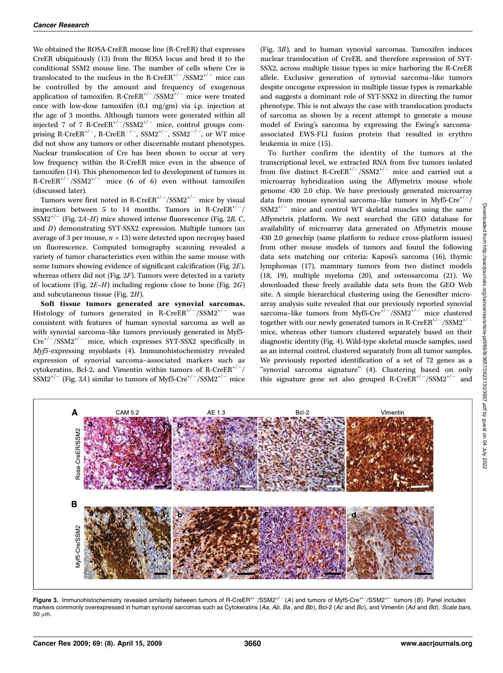We obtained the ROSA-CreER mouse line (R-CreER) that expresses CreER ubiquitously (13) from the ROSA locus and bred it to the conditional SSM2 mouse line. The number of cells where Cre is translocated to the nucleus in the R-CreER<sup>+/-</sup>/SSM2<sup>+/-</sup> mice can be controlled by the amount and frequency of exogenous application of tamoxifen. R-CreER<sup>+/-</sup>/SSM2<sup>+/-</sup> mice were treated once with low-dose tamoxifen (0.1 mg/gm) via i.p. injection at the age of 3 months. Although tumors were generated within all injected 7 of 7 R-CreER<sup>+/-</sup>/SSM2<sup>+/-</sup> mice, control groups comprising R-CreER<sup>+/-</sup>, R-CreER<sup>-/-</sup>, SSM2<sup>+/-</sup>, SSM2<sup>-/-</sup>, or WT mice did not show any tumors or other discernable mutant phenotypes. Nuclear translocation of Cre has been shown to occur at very low frequency within the R-CreER mice even in the absence of tamoxifen (14). This phenomenon led to development of tumors in  $R$ -Cre $ER^{+/-}/SSM2^{+/-}$  mice (6 of 6) even without tamoxifen (discussed later).

Tumors were first noted in R-Cre $\mathrm{ER}^{+/-}/\mathrm{SSM2}^{+/-}$  mice by visual inspection between 5 to 14 months. Tumors in R-Cre $\mathrm{ER}^{+/-}/$  $\text{SSM2}^{+/-}$  (Fig. 2A–H) mice showed intense fluorescence (Fig. 2B, C, and D) demonstrating SYT-SSX2 expression. Multiple tumors (an average of 3 per mouse,  $n = 13$ ) were detected upon necropsy based on fluorescence. Computed tomography scanning revealed a variety of tumor characteristics even within the same mouse with some tumors showing evidence of significant calcification (Fig. 2E), whereas others did not (Fig.  $2F$ ). Tumors were detected in a variety of locations (Fig.  $2E-H$ ) including regions close to bone (Fig.  $2G$ ) and subcutaneous tissue (Fig. 2H).

Soft tissue tumors generated are synovial sarcomas. Histology of tumors generated in R-Cre $ER^{+/-}/SSM2^{+/-}$  was consistent with features of human synovial sarcoma as well as with synovial sarcoma–like tumors previously generated in Myf5-  $Cre^{+/-}/SSM2^{+/-}$  mice, which expresses SYT-SSX2 specifically in Myf5-expressing myoblasts (4). Immunohistochemistry revealed expression of synovial sarcoma–associated markers such as cytokeratins, Bcl-2, and Vimentin within tumors of  $R$ -Cre $ER^{+/-}/$  $\mathrm{SSM2}^{+/-}$  (Fig. 3A) similar to tumors of Myf5-Cre $^{+/-}/\mathrm{SSM2}^{+/-}$  mice

(Fig. 3B), and to human synovial sarcomas. Tamoxifen induces nuclear translocation of CreER, and therefore expression of SYT-SSX2, across multiple tissue types in mice harboring the R-CreER allele. Exclusive generation of synovial sarcoma–like tumors despite oncogene expression in multiple tissue types is remarkable and suggests a dominant role of SYT-SSX2 in directing the tumor phenotype. This is not always the case with translocation products of sarcoma as shown by a recent attempt to generate a mouse model of Ewing's sarcoma by expressing the Ewing's sarcomaassociated EWS-FLI fusion protein that resulted in erythro leukemia in mice (15).

To further confirm the identity of the tumors at the transcriptional level, we extracted RNA from five tumors isolated from five distinct R-Cre $ER^{+/-}/SSM2^{+/-}$  mice and carried out a microarray hybridization using the Affymetrix mouse whole genome 430 2.0 chip. We have previously generated microarray data from mouse synovial sarcoma-like tumors in Myf5-Cre<sup>+/-</sup>/  $SSM2^{+/-}$  mice and control WT skeletal muscles using the same Affymetrix platform. We next searched the GEO database for availability of microarray data generated on Affymetrix mouse 430 2.0 genechip (same platform to reduce cross-platform issues) from other mouse models of tumors and found the following data sets matching our criteria: Kaposi's sarcoma (16), thymic lymphomas (17), mammary tumors from two distinct models (18, 19), multiple myeloma (20), and osteosarcoma (21). We downloaded these freely available data sets from the GEO Web site. A simple hierarchical clustering using the Genesifter microarray analysis suite revealed that our previously reported synovial sarcoma-like tumors from Myf5-Cre<sup>+/-</sup>/SSM2<sup>+/-</sup> mice clustered together with our newly generated tumors in R-CreER<sup>+/-</sup>/SSM2<sup>+/-</sup> mice, whereas other tumors clustered separately based on their diagnostic identity (Fig. 4). Wild-type skeletal muscle samples, used as an internal control, clustered separately from all tumor samples. We previously reported identification of a set of 72 genes as a "synovial sarcoma signature" (4). Clustering based on only this signature gene set also grouped R-Cre $ER^{+/-}/SSM2^{+/-}$  and



Figure 3. Immunohistochemistry revealed similarity between tumors of R-CreER<sup>+/-</sup>/SSM2<sup>+/-</sup> (A) and tumors of Myf5-Cre<sup>+/-</sup>/SSM2<sup>+/-</sup> tumors (B). Panel includes markers commonly overexpressed in human synovial sarcomas such as Cytokeratins (Aa, Ab, Ba, and Bb), Bcl-2 (Ac and Bc), and Vimentin (Ad and Bd). Scale bars,  $50 \mu m$ .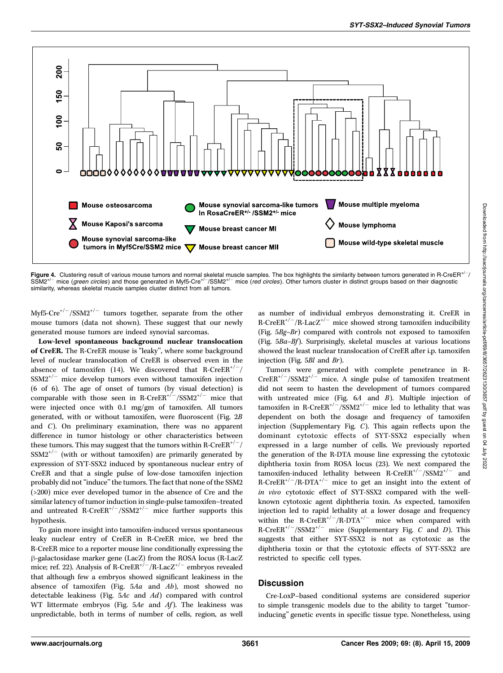

Figure 4. Clustering result of various mouse tumors and normal skeletal muscle samples. The box highlights the similarity between tumors generated in R-CreER<sup>+/-</sup>/<br>SSM2<sup>+/-</sup> mice (*green circles*) and those generated in My similarity, whereas skeletal muscle samples cluster distinct from all tumors.

Myf5-Cre<sup>+/-</sup>/SSM2<sup>+/-</sup> tumors together, separate from the other mouse tumors (data not shown). These suggest that our newly generated mouse tumors are indeed synovial sarcomas.

Low-level spontaneous background nuclear translocation of CreER. The R-CreER mouse is ''leaky'', where some background level of nuclear translocation of CreER is observed even in the absence of tamoxifen (14). We discovered that R-CreER<sup>+/-</sup>/  $SSM2^{+/-}$  mice develop tumors even without tamoxifen injection (6 of 6). The age of onset of tumors (by visual detection) is comparable with those seen in R-Cre $ER^{+/-}/SSM2^{+/-}$  mice that were injected once with 0.1 mg/gm of tamoxifen. All tumors generated, with or without tamoxifen, were fluoroscent (Fig. 2B and C). On preliminary examination, there was no apparent difference in tumor histology or other characteristics between these tumors. This may suggest that the tumors within R-CreER<sup>+/-</sup>/  $SSM2^{+/-}$  (with or without tamoxifen) are primarily generated by expression of SYT-SSX2 induced by spontaneous nuclear entry of CreER and that a single pulse of low-dose tamoxifen injection probably did not ''induce'' the tumors. The fact that none of the SSM2 (>200) mice ever developed tumor in the absence of Cre and the similar latency of tumor induction in single-pulse tamoxifen–treated and untreated R-CreER<sup>+/-</sup>/SSM2<sup>+/-</sup> mice further supports this hypothesis.

To gain more insight into tamoxifen-induced versus spontaneous leaky nuclear entry of CreER in R-CreER mice, we bred the R-CreER mice to a reporter mouse line conditionally expressing the h-galactosidase marker gene (LacZ) from the ROSA locus (R-LacZ mice; ref. 22). Analysis of R-CreER<sup>+/-</sup>/R-LacZ<sup>+/-</sup> embryos revealed that although few a embryos showed significant leakiness in the absence of tamoxifen (Fig. 5Aa and Ab), most showed no detectable leakiness (Fig. 5Ac and Ad) compared with control WT littermate embryos (Fig. 5Ae and Af). The leakiness was unpredictable, both in terms of number of cells, region, as well

as number of individual embryos demonstrating it. CreER in R-CreER<sup>+/-</sup>/R-Lac $Z^{+/-}$  mice showed strong tamoxifen inducibility (Fig.  $5Bg-Br$ ) compared with controls not exposed to tamoxifen (Fig.  $5Ba-Bf$ ). Surprisingly, skeletal muscles at various locations showed the least nuclear translocation of CreER after i.p. tamoxifen injection (Fig. 5Bl and Br).

Tumors were generated with complete penetrance in R- $CreER^{+/-}/SSM2^{+/-}$  mice. A single pulse of tamoxifen treatment did not seem to hasten the development of tumors compared with untreated mice (Fig. 6A and B). Multiple injection of tamoxifen in R-Cre $ER^{+/-}/SSM2^{+/-}$  mice led to lethality that was dependent on both the dosage and frequency of tamoxifen injection (Supplementary Fig. C). This again reflects upon the dominant cytotoxic effects of SYT-SSX2 especially when expressed in a large number of cells. We previously reported the generation of the R-DTA mouse line expressing the cytotoxic diphtheria toxin from ROSA locus (23). We next compared the  $t$ amoxifen-induced lethality between R-Cre $ER^{+/-}/SSM2^{+/-}$  and R-CreER<sup>+/-</sup>/R-DTA<sup>+/-</sup> mice to get an insight into the extent of in vivo cytotoxic effect of SYT-SSX2 compared with the wellknown cytotoxic agent diphtheria toxin. As expected, tamoxifen injection led to rapid lethality at a lower dosage and frequency within the R-Cre $ER^{+/-}/R$ -DTA<sup>+/-</sup> mice when compared with R-CreER<sup>+/-</sup>/SSM2<sup>+/-</sup> mice (Supplementary Fig. C and D). This suggests that either SYT-SSX2 is not as cytotoxic as the diphtheria toxin or that the cytotoxic effects of SYT-SSX2 are restricted to specific cell types.

# **Discussion**

Cre-LoxP–based conditional systems are considered superior to simple transgenic models due to the ability to target ''tumorinducing'' genetic events in specific tissue type. Nonetheless, using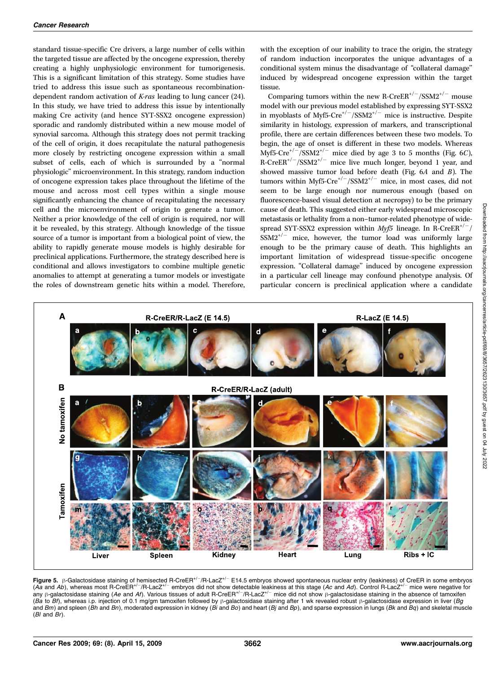standard tissue-specific Cre drivers, a large number of cells within the targeted tissue are affected by the oncogene expression, thereby creating a highly unphysiologic environment for tumorigenesis. This is a significant limitation of this strategy. Some studies have tried to address this issue such as spontaneous recombinationdependent random activation of K-ras leading to lung cancer (24). In this study, we have tried to address this issue by intentionally making Cre activity (and hence SYT-SSX2 oncogene expression) sporadic and randomly distributed within a new mouse model of synovial sarcoma. Although this strategy does not permit tracking of the cell of origin, it does recapitulate the natural pathogenesis more closely by restricting oncogene expression within a small subset of cells, each of which is surrounded by a ''normal physiologic'' microenvironment. In this strategy, random induction of oncogene expression takes place throughout the lifetime of the mouse and across most cell types within a single mouse significantly enhancing the chance of recapitulating the necessary cell and the microenvironment of origin to generate a tumor. Neither a prior knowledge of the cell of origin is required, nor will it be revealed, by this strategy. Although knowledge of the tissue source of a tumor is important from a biological point of view, the ability to rapidly generate mouse models is highly desirable for preclinical applications. Furthermore, the strategy described here is conditional and allows investigators to combine multiple genetic anomalies to attempt at generating a tumor models or investigate the roles of downstream genetic hits within a model. Therefore,

with the exception of our inability to trace the origin, the strategy of random induction incorporates the unique advantages of a conditional system minus the disadvantage of ''collateral damage'' induced by widespread oncogene expression within the target tissue.

Comparing tumors within the new R-Cre $ER^{+/-}/SSM2^{+/-}$  mouse model with our previous model established by expressing SYT-SSX2 in myoblasts of Myf5-Cre<sup>+/-</sup>/SSM2<sup>+/-</sup> mice is instructive. Despite similarity in histology, expression of markers, and transcriptional profile, there are certain differences between these two models. To begin, the age of onset is different in these two models. Whereas Myf5-Cre<sup>+/-</sup>/SSM2<sup>+/-</sup> mice died by age 3 to 5 months (Fig. 6C), R-CreER<sup>+/-</sup>/SSM2<sup>+/-</sup> mice live much longer, beyond 1 year, and showed massive tumor load before death (Fig. 6A and B). The tumors within Myf5-Cre<sup>+/-</sup>/SSM2<sup>+/-</sup> mice, in most cases, did not seem to be large enough nor numerous enough (based on fluorescence-based visual detection at necropsy) to be the primary cause of death. This suggested either early widespread microscopic metastasis or lethality from a non–tumor-related phenotype of widespread SYT-SSX2 expression within  $Myf5$  lineage. In R-CreER<sup>+/-</sup>/  $SSM2^{+/-}$  mice, however, the tumor load was uniformly large enough to be the primary cause of death. This highlights an important limitation of widespread tissue-specific oncogene expression. "Collateral damage" induced by oncogene expression in a particular cell lineage may confound phenotype analysis. Of particular concern is preclinical application where a candidate



Figure 5. β-Galactosidase staining of hemisected R-CreER<sup>+/-</sup>/R-LacZ<sup>+/-</sup> E14.5 embryos showed spontaneous nuclear entry (leakiness) of CreER in some embryos<br>(Aa and Ab), whereas most R-CreER<sup>+/-</sup>/R-LacZ<sup>+/-</sup> embryos did any  $\beta$ -galactosidase staining (Ae and Af). Various tissues of adult R-CreER+/-/R-LacZ+/- mice did not show  $\beta$ -galactosidase staining in the absence of tamoxifen (Ba to Bf), whereas i.p. injection of 0.1 mg/gm tamoxifen followed by  $\beta$ -galactosidase staining after 1 wk revealed robust  $\beta$ -galactosidase expression in liver (Bg and Bm) and spleen (Bh and Bn), moderated expression in kidney (Bi and Bo) and heart (Bj and Bp), and sparse expression in lungs (Bk and Bq) and skeletal muscle (BI and Br).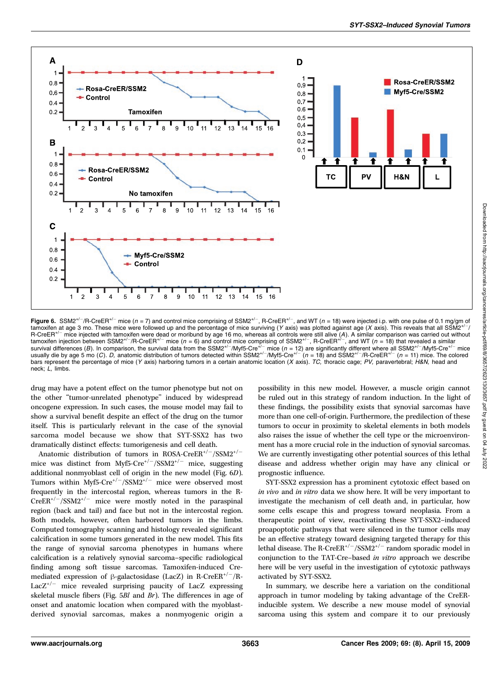

Figure 6. SSM2<sup>+/-</sup>/R-CreER<sup>+/-</sup> mice (n = 7) and control mice comprising of SSM2<sup>+/-</sup>, R-CreER<sup>+/-</sup>, and WT (n = 18) were injected i.p. with one pulse of 0.1 mg/gm of tamoxifen at age 3 mo. These mice were followed up and the percentage of mice surviving (Y axis) was plotted against age (X axis). This reveals that all SSM2<sup>+</sup> tamoxifen at age 3 mo. These mice were followed up and the percentage of mice surviving (Y axis) was plotted against age (X axis). This reveals that all SSM2\*'<sup>-</sup>/<br>R-CreER\*<sup>/-</sup> mice injected with tamoxifen were dead or mor survival differences (*B*). In comparison, the survival data from the SSM2<sup>+/-</sup>/Myf5-Cre<sup>+/-</sup> mice (*n* = 12) are significantly different where all SSM2<sup>+/-</sup>/Myf5-Cre<sup>+/-</sup> mice<br>usually die by age 5 mo (*C*). *D*, anatomic bars represent the percentage of mice (Y axis) harboring tumors in a certain anatomic location (X axis). TC, thoracic cage; PV, paravertebral; H&N, head and neck; L, limbs.

drug may have a potent effect on the tumor phenotype but not on the other ''tumor-unrelated phenotype'' induced by widespread oncogene expression. In such cases, the mouse model may fail to show a survival benefit despite an effect of the drug on the tumor itself. This is particularly relevant in the case of the synovial sarcoma model because we show that SYT-SSX2 has two dramatically distinct effects: tumorigenesis and cell death.

Anatomic distribution of tumors in ROSA-Cre $ER^{+/-}/SSM2^{+/-}$ mice was distinct from Myf5-Cre<sup>+/-</sup>/SSM2<sup>+/-</sup> mice, suggesting additional nonmyoblast cell of origin in the new model (Fig. 6D). Tumors within Myf5-Cre<sup>+/-</sup>/SSM2<sup>+/-</sup> mice were observed most frequently in the intercostal region, whereas tumors in the R- $CreeER<sup>+/-</sup>/SSM2<sup>+/-</sup>$  mice were mostly noted in the paraspinal region (back and tail) and face but not in the intercostal region. Both models, however, often harbored tumors in the limbs. Computed tomography scanning and histology revealed significant calcification in some tumors generated in the new model. This fits the range of synovial sarcoma phenotypes in humans where calcification is a relatively synovial sarcoma–specific radiological finding among soft tissue sarcomas. Tamoxifen-induced Cremediated expression of  $\beta$ -galactosidase (LacZ) in R-CreER<sup>+/-</sup>/R-LacZ<sup>+/-</sup> mice revealed surprising paucity of LacZ expressing skeletal muscle fibers (Fig. 5Bl and Br). The differences in age of onset and anatomic location when compared with the myoblastderived synovial sarcomas, makes a nonmyogenic origin a

possibility in this new model. However, a muscle origin cannot be ruled out in this strategy of random induction. In the light of these findings, the possibility exists that synovial sarcomas have more than one cell-of-origin. Furthermore, the predilection of these tumors to occur in proximity to skeletal elements in both models also raises the issue of whether the cell type or the microenvironment has a more crucial role in the induction of synovial sarcomas. We are currently investigating other potential sources of this lethal disease and address whether origin may have any clinical or prognostic influence.

SYT-SSX2 expression has a prominent cytotoxic effect based on in vivo and in vitro data we show here. It will be very important to investigate the mechanism of cell death and, in particular, how some cells escape this and progress toward neoplasia. From a therapeutic point of view, reactivating these SYT-SSX2–induced proapoptotic pathways that were silenced in the tumor cells may be an effective strategy toward designing targeted therapy for this lethal disease. The R-Cre $ER^{+/-}/SSM2^{+/-}$  random sporadic model in conjunction to the TAT-Cre–based in vitro approach we describe here will be very useful in the investigation of cytotoxic pathways activated by SYT-SSX2.

In summary, we describe here a variation on the conditional approach in tumor modeling by taking advantage of the CreERinducible system. We describe a new mouse model of synovial sarcoma using this system and compare it to our previously